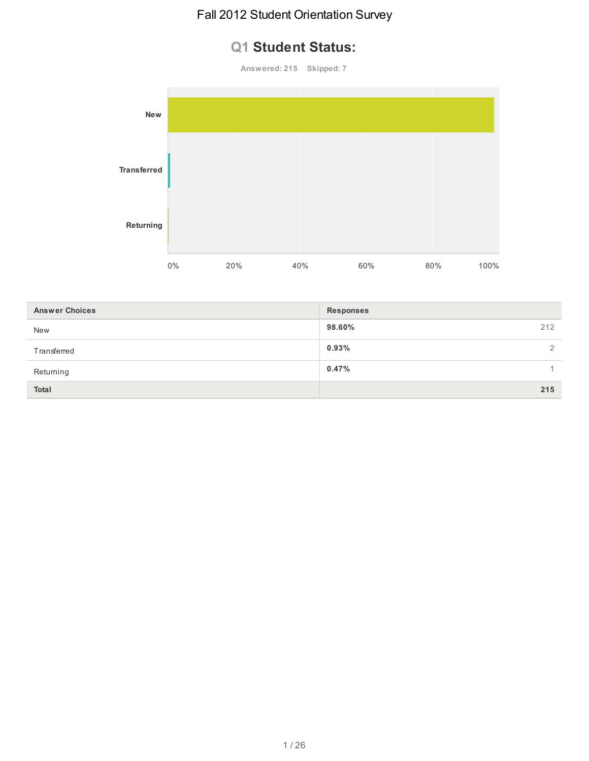# **Q1 Student Status:**

**Answered: 215 Skipped: 7**



| <b>Answer Choices</b> | <b>Responses</b> |
|-----------------------|------------------|
| <b>New</b>            | 98.60%<br>212    |
| Transferred           | 0.93%<br>2       |
| Returning             | 0.47%            |
| <b>Total</b>          | 215              |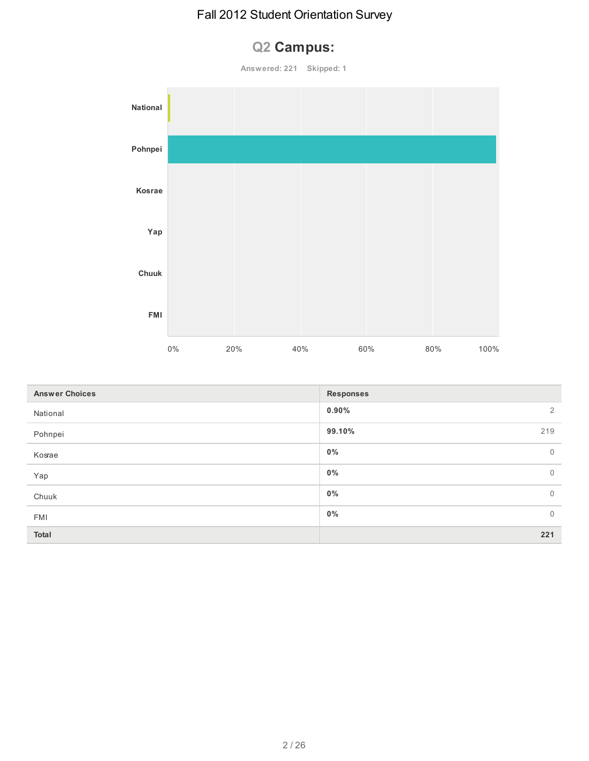# **Q2 Campus:**

**Answered: 221 Skipped: 1**



| <b>Answer Choices</b> | <b>Responses</b>           |
|-----------------------|----------------------------|
| National              | $0.90\%$<br>$\overline{2}$ |
| Pohnpei               | 99.10%<br>219              |
| Kosrae                | $\mathbf 0$<br>$0\%$       |
| Yap                   | $0\%$<br>$\mathbf 0$       |
| Chuuk                 | $\mathbf 0$<br>$0\%$       |
| <b>FMI</b>            | $\mathbf 0$<br>$0\%$       |
| Total                 | 221                        |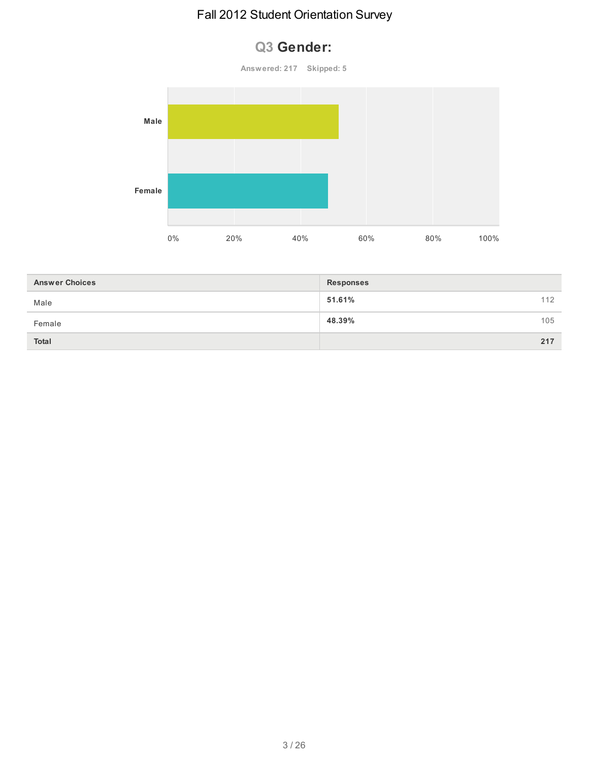# **Q3 Gender:**



| <b>Answer Choices</b> | <b>Responses</b> |     |
|-----------------------|------------------|-----|
| Male                  | 51.61%           | 112 |
| Female                | 48.39%           | 105 |
| <b>Total</b>          |                  | 217 |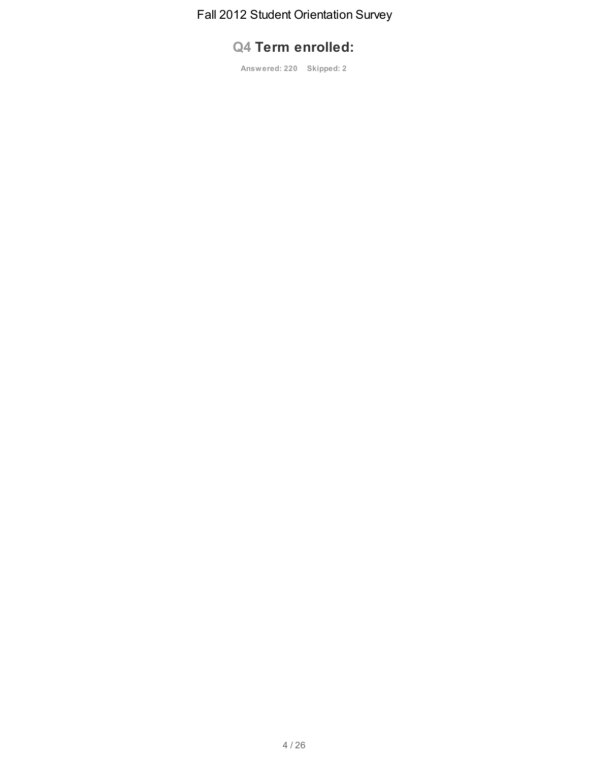# **Q4 Term enrolled:**

**Answered: 220 Skipped: 2**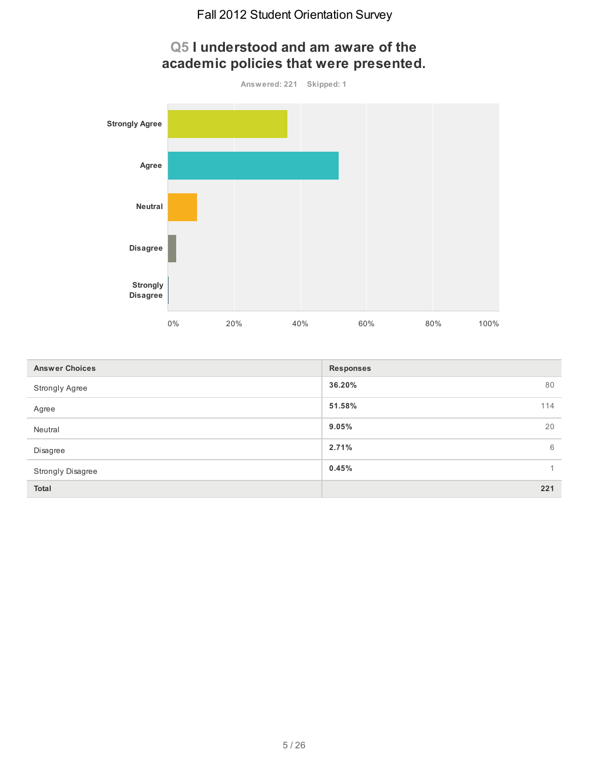

| <b>Answer Choices</b>    | <b>Responses</b>        |
|--------------------------|-------------------------|
| <b>Strongly Agree</b>    | 36.20%<br>80            |
| Agree                    | 51.58%<br>114           |
| Neutral                  | 20<br>9.05%             |
| Disagree                 | 2.71%<br>6              |
| <b>Strongly Disagree</b> | 0.45%<br>$\overline{1}$ |
| <b>Total</b>             | 221                     |

# **Q5 I understood and am aware of the academic policies that were presented.**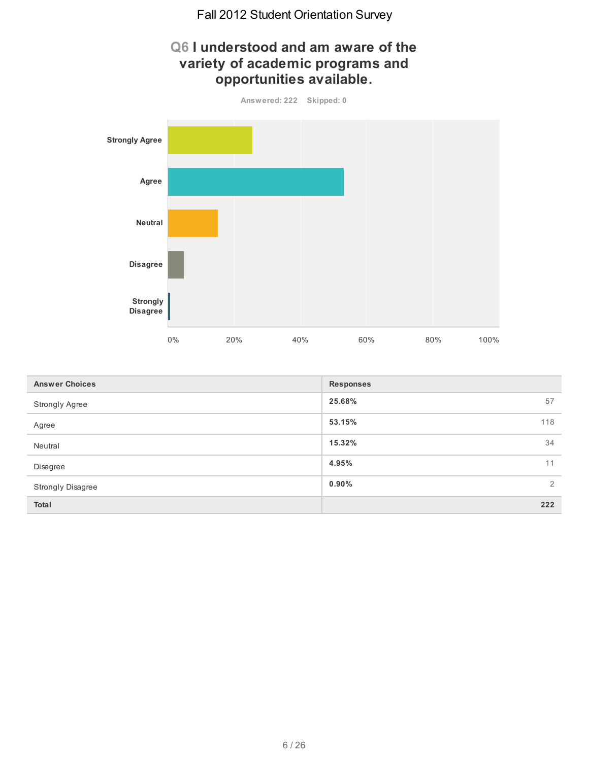# **Q6 I understood and am aware of the variety of academic programs and opportunities available. Answered: 222 Skipped: 0 Strongly Agree Agree Neutral Disagree Strongly Disagree** 0% 20% 40% 60% 80% 100%

| <b>Answer Choices</b>    | <b>Responses</b> |
|--------------------------|------------------|
| <b>Strongly Agree</b>    | 25.68%<br>57     |
| Agree                    | 53.15%<br>118    |
| Neutral                  | 15.32%<br>34     |
| Disagree                 | 4.95%<br>11      |
| <b>Strongly Disagree</b> | $0.90\%$<br>2    |
| Total                    | 222              |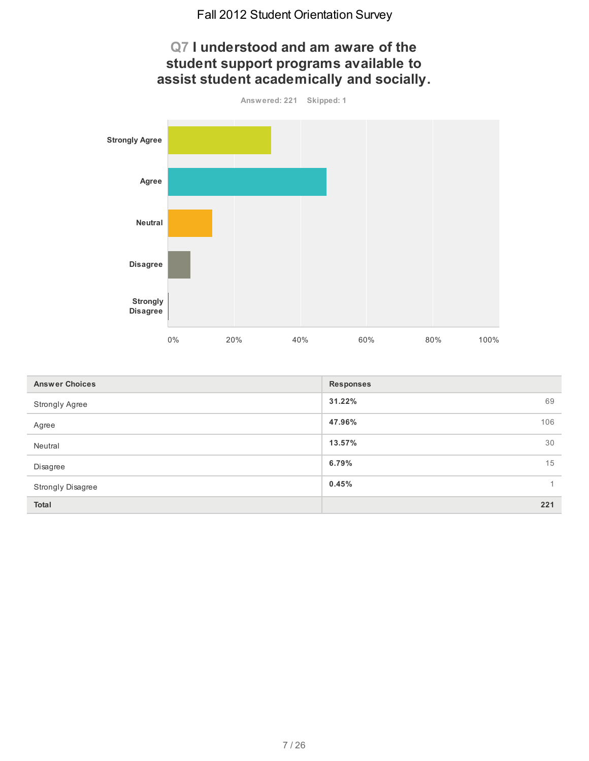

| <b>Answer Choices</b> | <b>Responses</b>        |
|-----------------------|-------------------------|
| Strongly Agree        | 31.22%<br>69            |
| Agree                 | 47.96%<br>106           |
| Neutral               | 13.57%<br>30            |
| Disagree              | 15<br>6.79%             |
| Strongly Disagree     | 0.45%<br>$\overline{1}$ |
| Total                 | 221                     |

7 / 26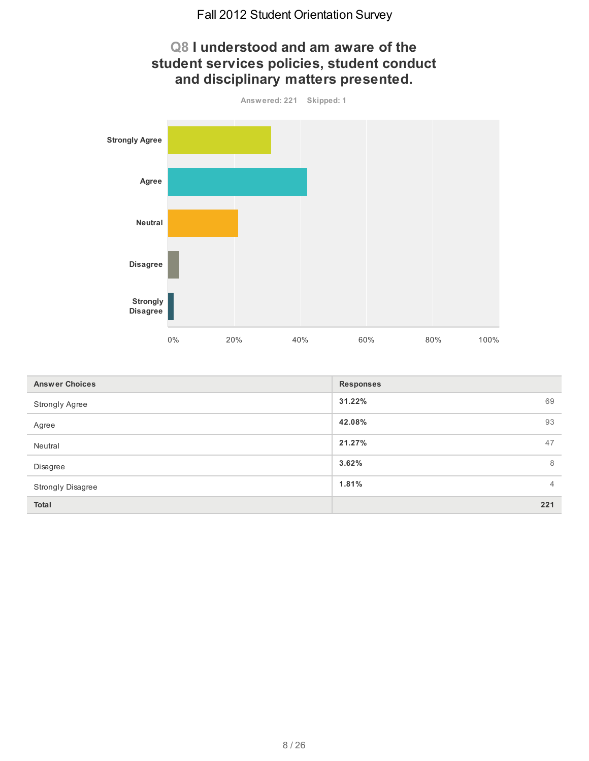# **Q8 I understood and am aware of the student services policies, student conduct and disciplinary matters presented.**



| <b>Answer Choices</b> | <b>Responses</b>        |
|-----------------------|-------------------------|
| Strongly Agree        | 31.22%<br>69            |
| Agree                 | 93<br>42.08%            |
| Neutral               | 47<br>21.27%            |
| Disagree              | 3.62%<br>8              |
| Strongly Disagree     | 1.81%<br>$\overline{4}$ |
| Total                 | 221                     |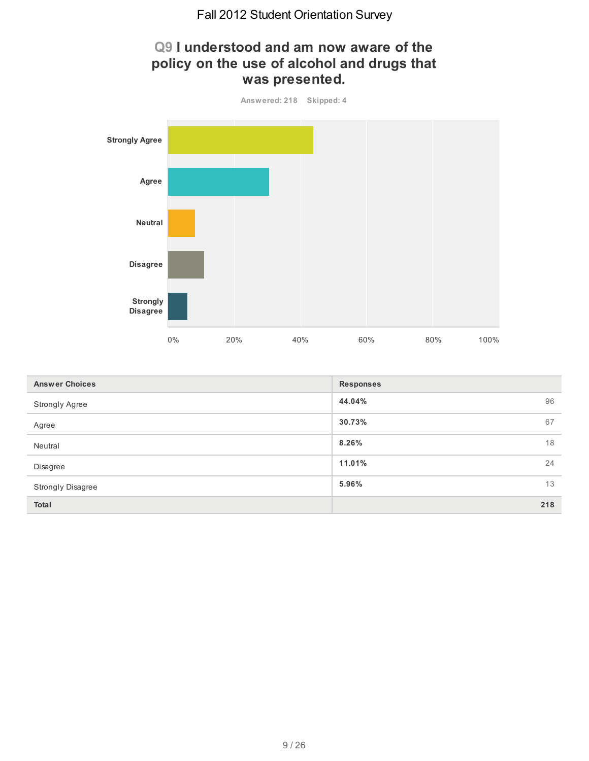# **Q9 I understood and am now aware of the policy on the use of alcohol and drugs that was presented.**



| <b>Answer Choices</b> | <b>Responses</b> |
|-----------------------|------------------|
| <b>Strongly Agree</b> | 96<br>44.04%     |
| Agree                 | 67<br>30.73%     |
| Neutral               | 18<br>8.26%      |
| Disagree              | 11.01%<br>24     |
| Strongly Disagree     | 13<br>5.96%      |
| <b>Total</b>          | 218              |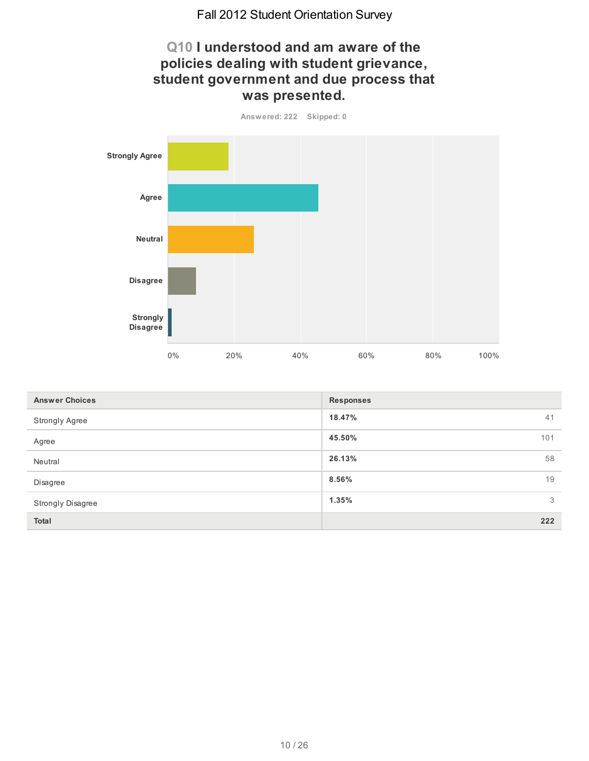# **Q10 I understood and am aware of the policies dealing with student grievance, student government and due process that was presented.**



| <b>Answer Choices</b>    | <b>Responses</b> |
|--------------------------|------------------|
| <b>Strongly Agree</b>    | 18.47%<br>41     |
| Agree                    | 45.50%<br>101    |
| Neutral                  | 58<br>26.13%     |
| Disagree                 | 19<br>8.56%      |
| <b>Strongly Disagree</b> | 1.35%<br>3       |
| <b>Total</b>             | 222              |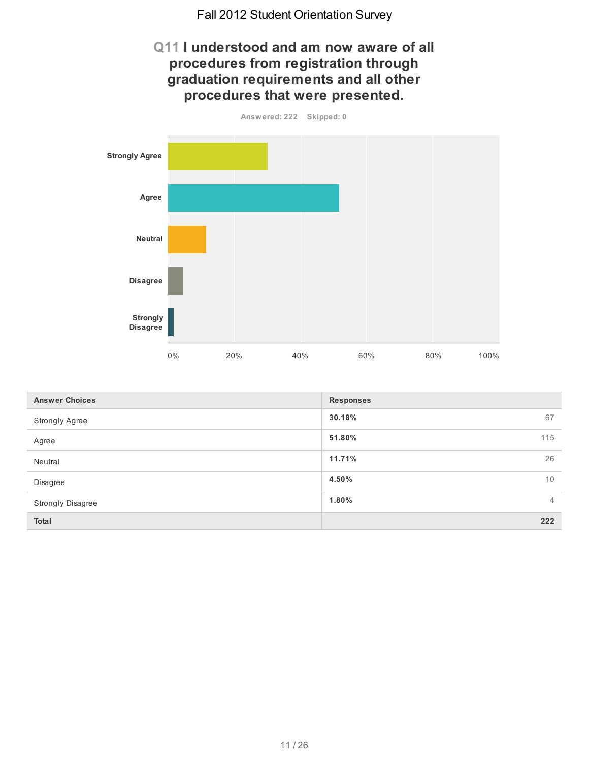#### **Q11 I understood and am now aware of all procedures from registration through graduation requirements and all other procedures that were presented.**



| <b>Answer Choices</b>    | <b>Responses</b>        |
|--------------------------|-------------------------|
| <b>Strongly Agree</b>    | 30.18%<br>67            |
| Agree                    | 51.80%<br>115           |
| Neutral                  | 26<br>11.71%            |
| Disagree                 | 10<br>4.50%             |
| <b>Strongly Disagree</b> | 1.80%<br>$\overline{4}$ |
| <b>Total</b>             | 222                     |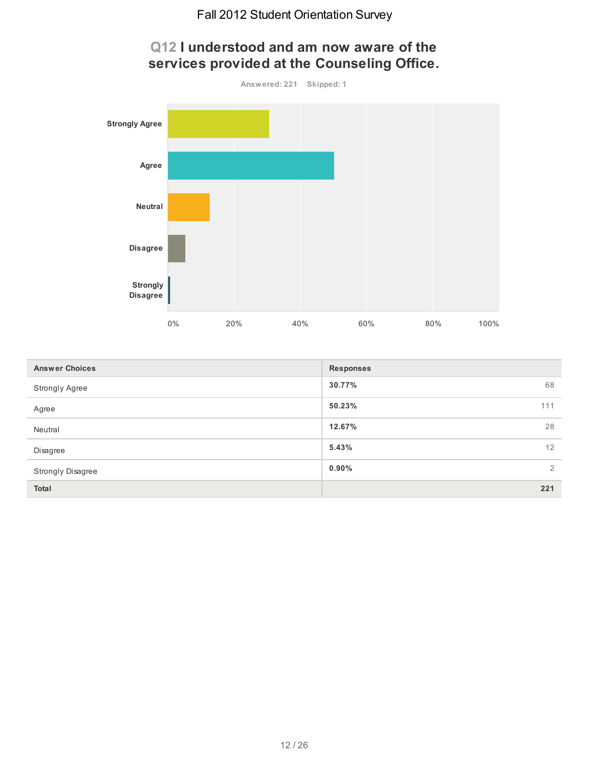

| <b>Answer Choices</b>    | <b>Responses</b>           |
|--------------------------|----------------------------|
| <b>Strongly Agree</b>    | 68<br>30.77%               |
| Agree                    | 50.23%<br>111              |
| Neutral                  | 28<br>12.67%               |
| Disagree                 | 12<br>5.43%                |
| <b>Strongly Disagree</b> | $\overline{2}$<br>$0.90\%$ |
| <b>Total</b>             | 221                        |

# **Q12 I understood and am now aware of the services provided at the Counseling Office.**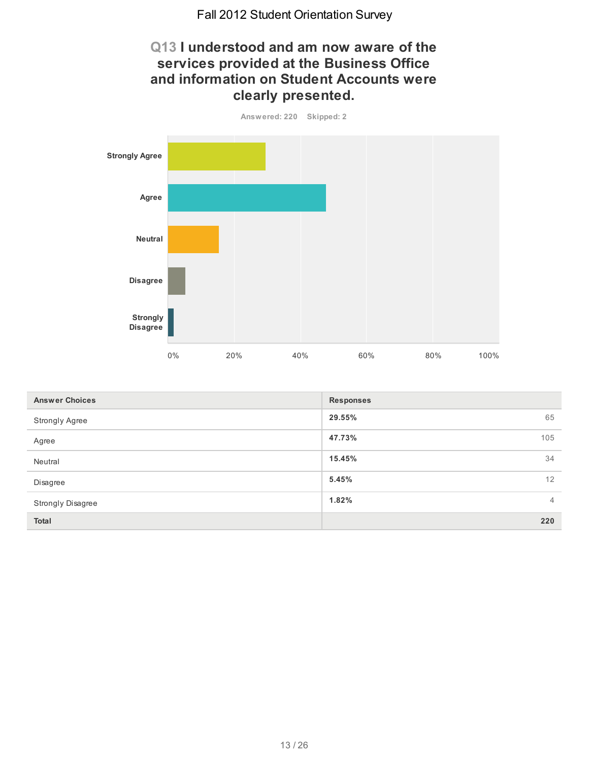# **Q13 I understood and am now aware of the services provided at the Business Office and information on Student Accounts were clearly presented.**



| <b>Answer Choices</b> | <b>Responses</b>        |
|-----------------------|-------------------------|
| Strongly Agree        | 29.55%<br>65            |
| Agree                 | 47.73%<br>105           |
| Neutral               | 34<br>15.45%            |
| Disagree              | 12<br>5.45%             |
| Strongly Disagree     | 1.82%<br>$\overline{4}$ |
| <b>Total</b>          | 220                     |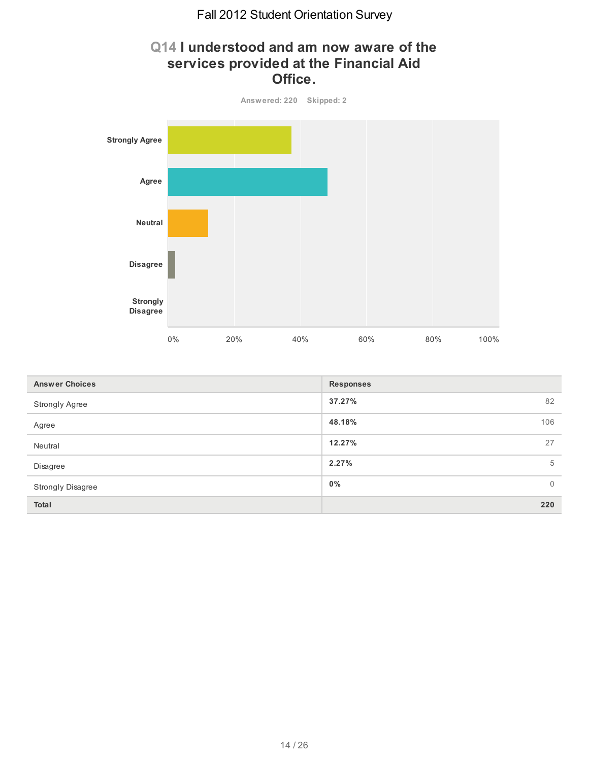# **Q14 I understood and am now aware of the services provided at the Financial Aid Office.**



| <b>Answer Choices</b> | <b>Responses</b>        |
|-----------------------|-------------------------|
| <b>Strongly Agree</b> | 37.27%<br>82            |
| Agree                 | 48.18%<br>106           |
| Neutral               | 12.27%<br>27            |
| Disagree              | 2.27%<br>5              |
| Strongly Disagree     | $0\%$<br>$\overline{0}$ |
| <b>Total</b>          | 220                     |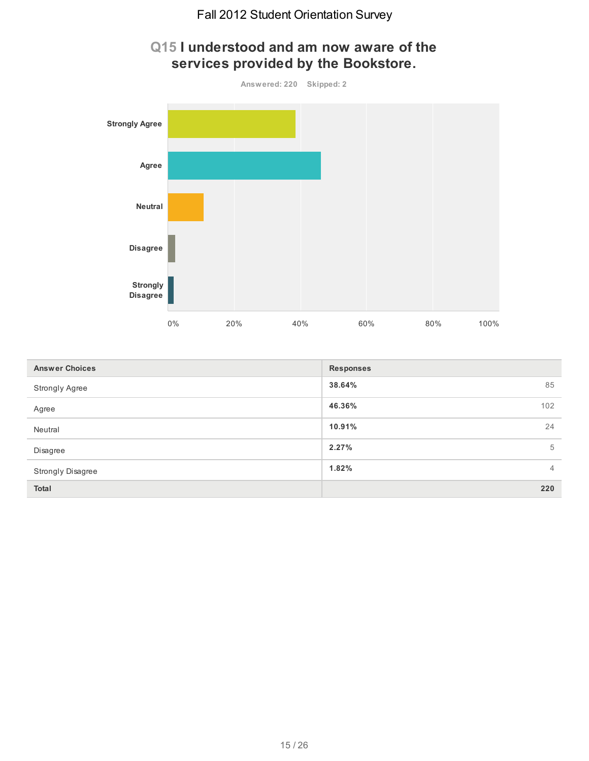

| <b>Answer Choices</b> | <b>Responses</b>        |
|-----------------------|-------------------------|
| Strongly Agree        | 85<br>38.64%            |
| Agree                 | 102<br>46.36%           |
| Neutral               | 24<br>10.91%            |
| Disagree              | 2.27%<br>5              |
| Strongly Disagree     | 1.82%<br>$\overline{4}$ |
| <b>Total</b>          | 220                     |

# **Q15 I understood and am now aware of the services provided by the Bookstore.**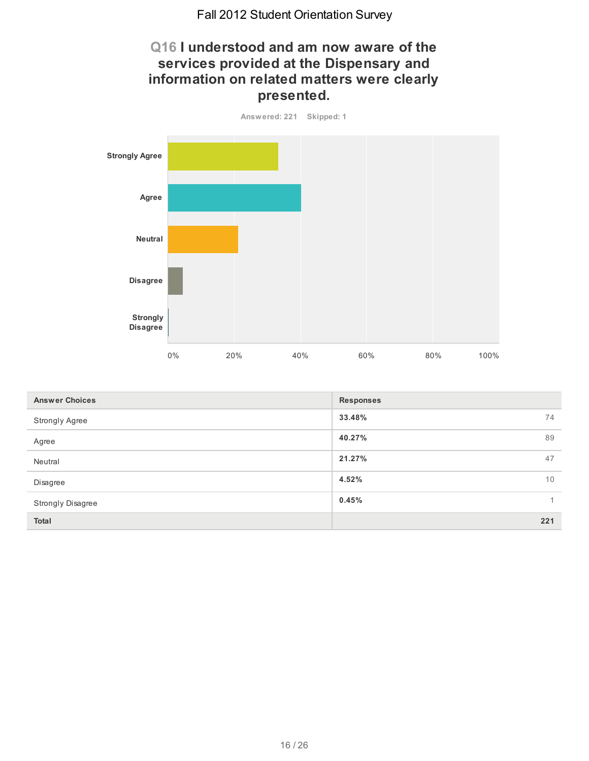# **Q16 I understood and am now aware of the services provided at the Dispensary and information on related matters were clearly presented.**



| <b>Answer Choices</b> | <b>Responses</b>      |
|-----------------------|-----------------------|
| <b>Strongly Agree</b> | 33.48%<br>74          |
| Agree                 | 89<br>40.27%          |
| Neutral               | 21.27%<br>47          |
| Disagree              | 10<br>4.52%           |
| Strongly Disagree     | 0.45%<br>$\mathbf{1}$ |
| Total                 | 221                   |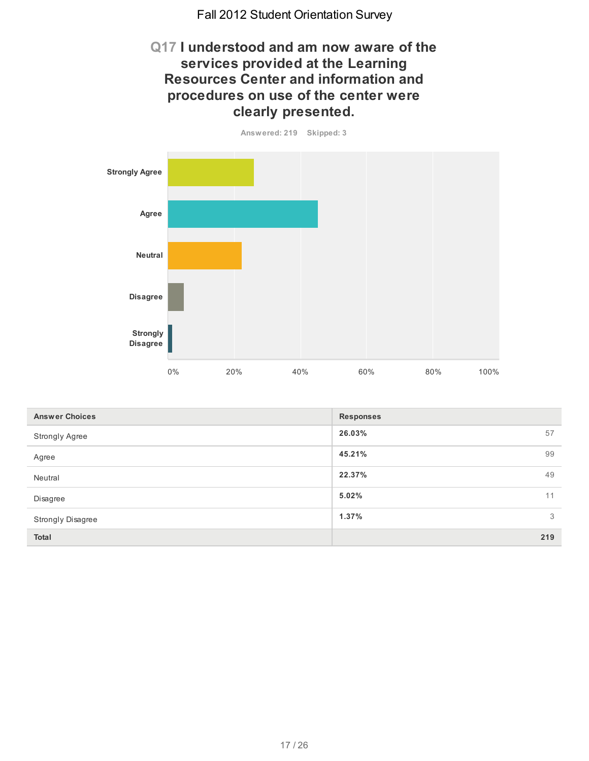# **Q17 I understood and am now aware of the services provided at the Learning Resources Center and information and procedures on use of the center were clearly presented.**

**Answered: 219 Skipped: 3**



| <b>Answer Choices</b> | <b>Responses</b> |
|-----------------------|------------------|
| <b>Strongly Agree</b> | 26.03%<br>57     |
| Agree                 | 45.21%<br>99     |
| Neutral               | 49<br>22.37%     |
| Disagree              | 5.02%<br>11      |
| Strongly Disagree     | 3<br>1.37%       |
| Total                 | 219              |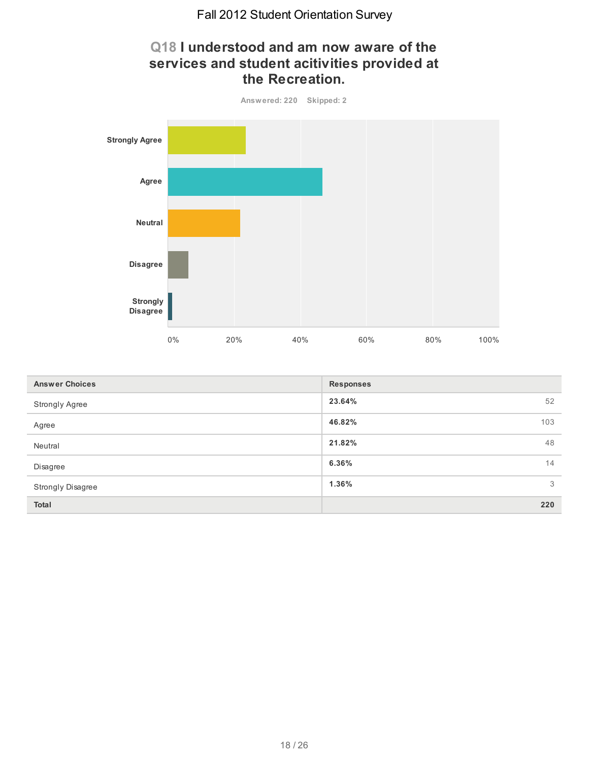#### **Q18 I understood and am now aware of the services and student acitivities provided at the Recreation.**



| <b>Answer Choices</b> | <b>Responses</b> |
|-----------------------|------------------|
| Strongly Agree        | 23.64%<br>52     |
| Agree                 | 46.82%<br>103    |
| Neutral               | 21.82%<br>48     |
| Disagree              | 6.36%<br>14      |
| Strongly Disagree     | 3<br>1.36%       |
| <b>Total</b>          | 220              |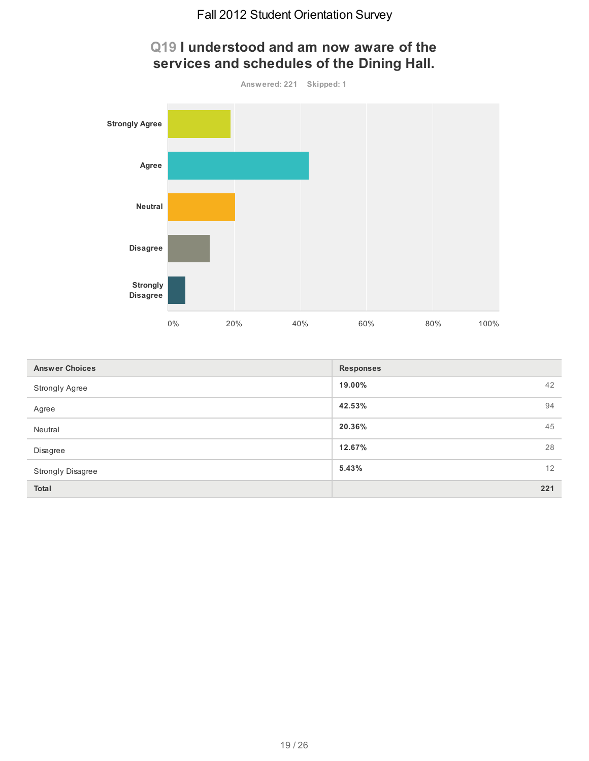

| Q19 I understood and am now aware of the   |  |
|--------------------------------------------|--|
| services and schedules of the Dining Hall. |  |

| <b>Answer Choices</b>    | <b>Responses</b> |
|--------------------------|------------------|
| Strongly Agree           | 42<br>19.00%     |
| Agree                    | 42.53%<br>94     |
| Neutral                  | 20.36%<br>45     |
| Disagree                 | 28<br>12.67%     |
| <b>Strongly Disagree</b> | 12<br>5.43%      |
| Total                    | 221              |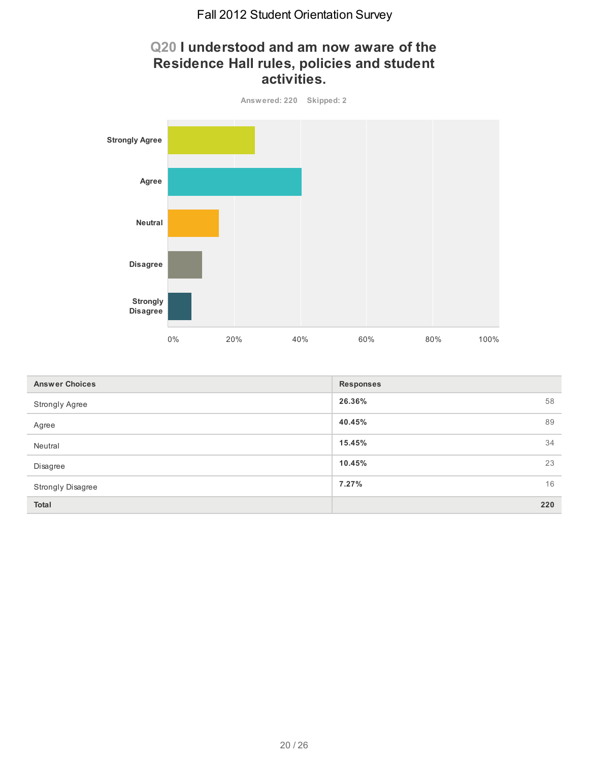# **Q20 I understood and am now aware of the Residence Hall rules, policies and student activities.**



| <b>Answer Choices</b> | <b>Responses</b> |
|-----------------------|------------------|
| <b>Strongly Agree</b> | 26.36%<br>58     |
| Agree                 | 89<br>40.45%     |
| Neutral               | 34<br>15.45%     |
| Disagree              | 23<br>10.45%     |
| Strongly Disagree     | 16<br>7.27%      |
| <b>Total</b>          | 220              |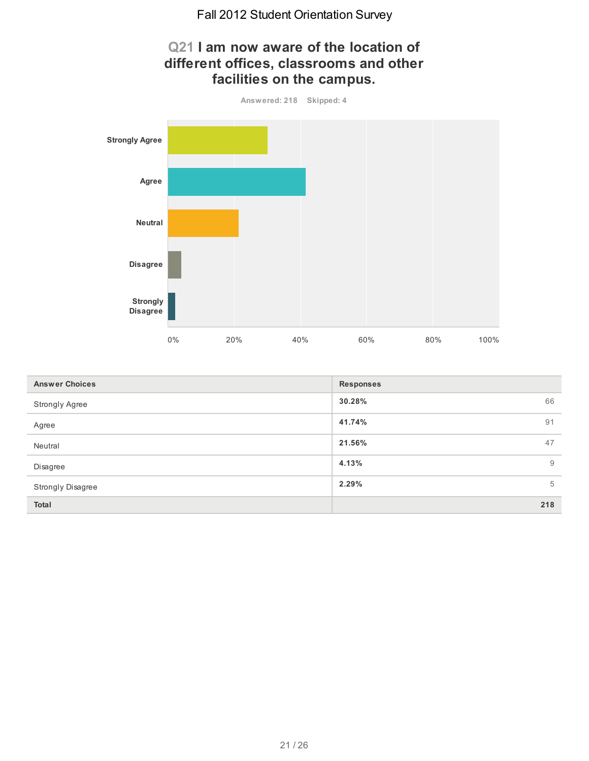

| <b>Answer Choices</b> | <b>Responses</b> |
|-----------------------|------------------|
| Strongly Agree        | 30.28%<br>66     |
| Agree                 | 41.74%<br>91     |
| Neutral               | 21.56%<br>47     |
| Disagree              | 4.13%<br>9       |
| Strongly Disagree     | 2.29%<br>5       |
| Total                 | 218              |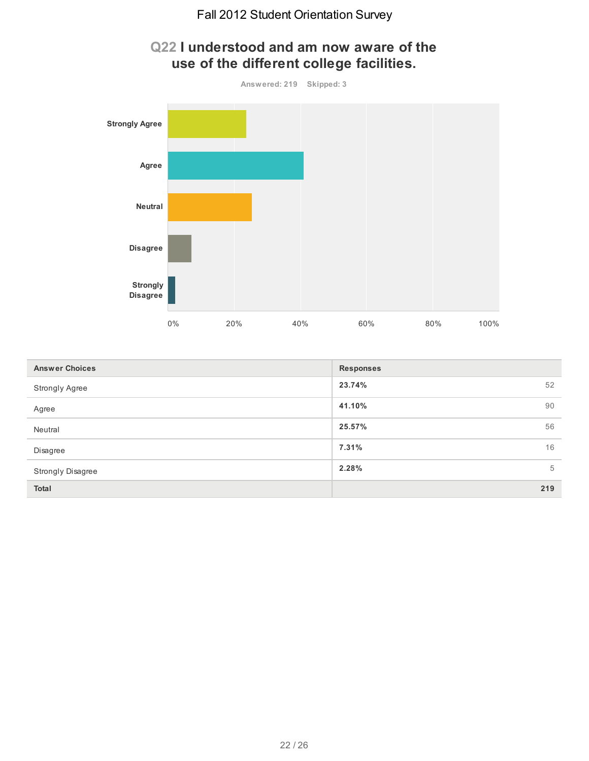

| Q22 I understood and am now aware of the |  |
|------------------------------------------|--|
| use of the different college facilities. |  |

| <b>Answer Choices</b> | <b>Responses</b> |
|-----------------------|------------------|
| <b>Strongly Agree</b> | 23.74%<br>52     |
| Agree                 | 41.10%<br>90     |
| Neutral               | 25.57%<br>56     |
| Disagree              | 16<br>7.31%      |
| Strongly Disagree     | 2.28%<br>5       |
| Total                 | 219              |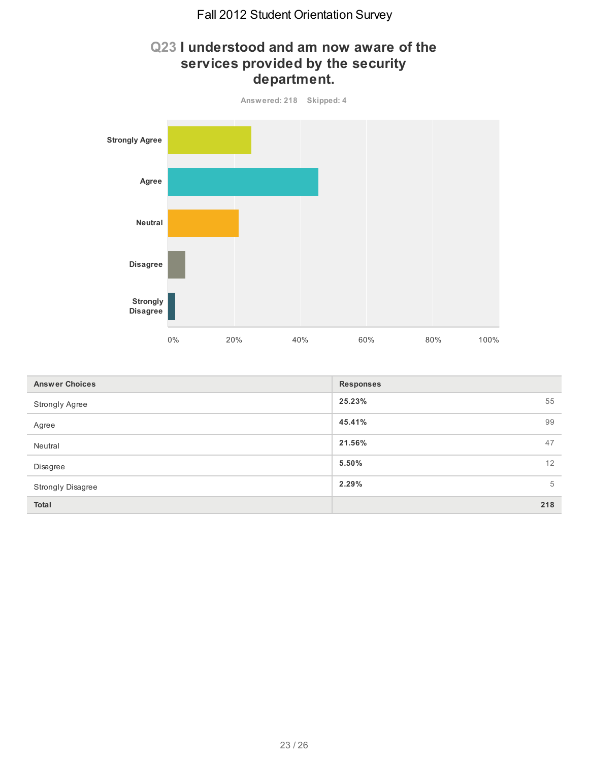#### **Q23 I understood and am now aware of the services provided by the security department.**



| <b>Answer Choices</b> | <b>Responses</b> |
|-----------------------|------------------|
| Strongly Agree        | 25.23%<br>55     |
| Agree                 | 99<br>45.41%     |
| Neutral               | 47<br>21.56%     |
| Disagree              | 12<br>5.50%      |
| Strongly Disagree     | 5<br>2.29%       |
| <b>Total</b>          | 218              |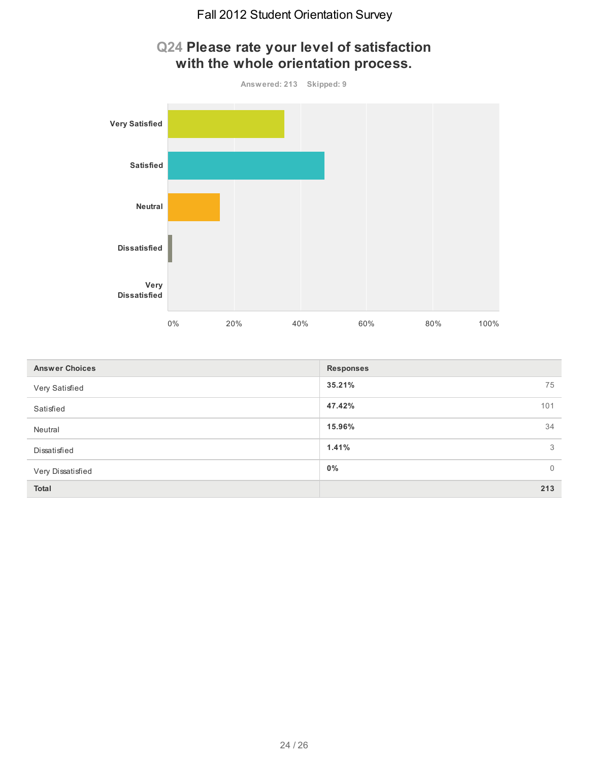

| <b>Answer Choices</b> | <b>Responses</b>        |
|-----------------------|-------------------------|
| Very Satisfied        | 35.21%<br>75            |
| Satisfied             | 47.42%<br>101           |
| Neutral               | 34<br>15.96%            |
| Dissatisfied          | 1.41%<br>3              |
| Very Dissatisfied     | $0\%$<br>$\overline{0}$ |
| <b>Total</b>          | 213                     |

#### 24 / 26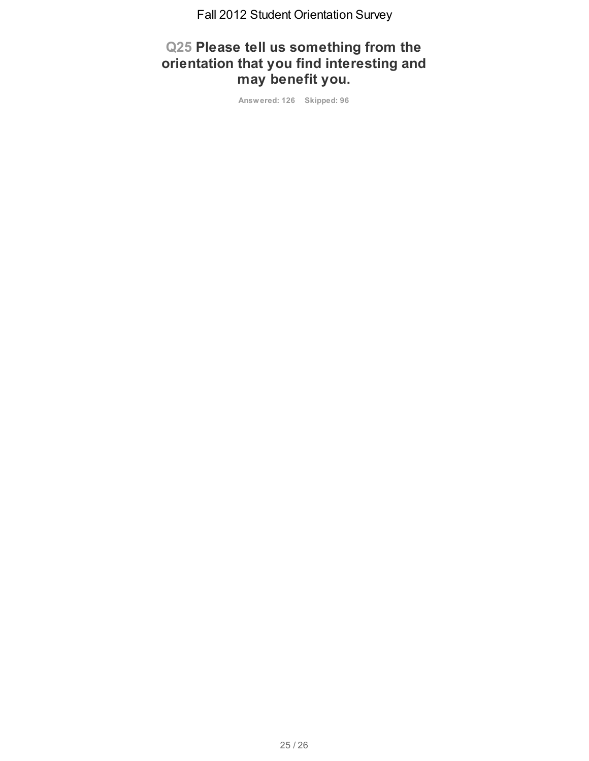# **Q25 Please tell us something from the orientation that you find interesting and may benefit you.**

**Answered: 126 Skipped: 96**